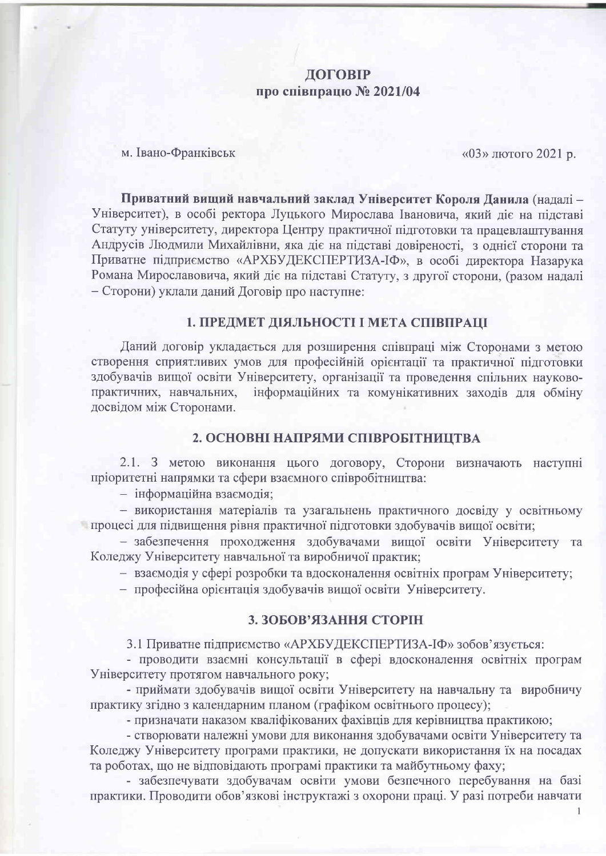### ДОГОВІР про співпрацю № 2021/04

м. Івано-Франківськ

«03» лютого 2021 р.

Приватний вищий навчальний заклад Університет Короля Данила (надалі -Університет), в особі ректора Луцького Мирослава Івановича, який діє на підставі Статуту університету, директора Центру практичної підготовки та працевлаштування Андрусів Людмили Михайлівни, яка діє на підставі довіреності, з однієї сторони та Приватне підприємство «АРХБУДЕКСПЕРТИЗА-ІФ», в особі директора Назарука Романа Мирославовича, який діє на підставі Статуту, з другої сторони, (разом надалі - Сторони) уклали даний Договір про наступне:

#### 1. ПРЕДМЕТ ДІЯЛЬНОСТІ І МЕТА СПІВПРАЦІ

Даний договір укладається для розширення співпраці між Сторонами з метою створення сприятливих умов для професійній орієнтації та практичної підготовки здобувачів вищої освіти Університету, організації та проведення спільних науковопрактичних, навчальних, інформаційних та комунікативних заходів для обміну досвідом між Сторонами.

#### 2. ОСНОВНІ НАПРЯМИ СПІВРОБІТНИЦТВА

2.1. З метою виконання цього договору, Сторони визначають наступні пріоритетні напрямки та сфери взаємного співробітництва:

- інформаційна взаємодія;

- використання матеріалів та узагальнень практичного досвіду у освітньому процесі для підвищення рівня практичної підготовки здобувачів вищої освіти;

- забезпечення проходження здобувачами вищої освіти Університету та Коледжу Університету навчальної та виробничої практик;

- взаємодія у сфері розробки та вдосконалення освітніх програм Університету;

- професійна орієнтація здобувачів вищої освіти Університету.

#### 3. ЗОБОВ'ЯЗАННЯ СТОРІН

3.1 Приватне підприємство «АРХБУДЕКСПЕРТИЗА-ІФ» зобов'язується:

- проводити взаємні консультації в сфері вдосконалення освітніх програм Університету протягом навчального року;

- приймати здобувачів вищої освіти Університету на навчальну та виробничу практику згідно з календарним планом (графіком освітнього процесу);

- призначати наказом кваліфікованих фахівців для керівництва практикою;

- створювати належні умови для виконання здобувачами освіти Університету та Коледжу Університету програми практики, не допускати використання їх на посадах та роботах, що не відповідають програмі практики та майбутньому фаху;

- забезпечувати здобувачам освіти умови безпечного перебування на базі практики. Проводити обов'язкові інструктажі з охорони праці. У разі потреби навчати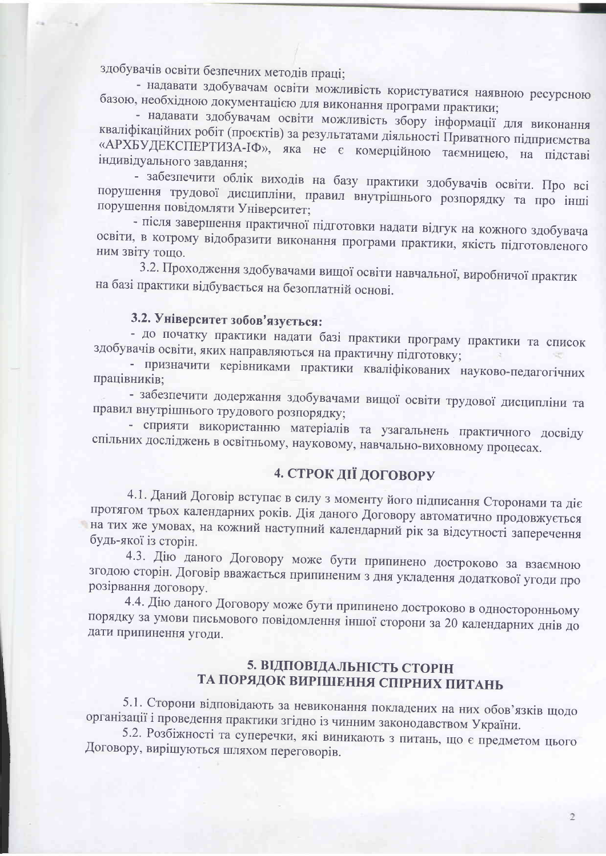здобувачів освіти безпечних методів праці;

- надавати здобувачам освіти можливість користуватися наявною ресурсною базою, необхідною документацією для виконання програми практики;

- надавати здобувачам освіти можливість збору інформації для виконання кваліфікаційних робіт (проєктів) за результатами діяльності Приватного підприємства «АРХБУДЕКСПЕРТИЗА-IФ», яка не є комерційною таємницею, на підставі індивідуального завдання;

- забезпечити облік виходів на базу практики здобувачів освіти. Про всі порушення трудової дисципліни, правил внутрішнього розпорядку та про інші порушення повідомляти Університет;

- після завершення практичної підготовки надати відгук на кожного здобувача освіти, в котрому відобразити виконання програми практики, якість підготовленого ним звіту тощо.

3.2. Проходження здобувачами вищої освіти навчальної, виробничої практик на базі практики відбувається на безоплатній основі.

# 3.2. Університет зобов'язується:

- до початку практики надати базі практики програму практики та список здобувачів освіти, яких направляються на практичну підготовку;

- призначити керівниками практики кваліфікованих науково-педагогічних працівників:

- забезпечити додержання здобувачами вищої освіти трудової дисципліни та правил внутрішнього трудового розпорядку;

- сприяти використанню матеріалів та узагальнень практичного досвіду спільних досліджень в освітньому, науковому, навчально-виховному процесах.

# 4. СТРОК ДІЇ ДОГОВОРУ

4.1. Даний Договір вступає в силу з моменту його підписання Сторонами та діє протягом трьох календарних років. Дія даного Договору автоматично продовжується на тих же умовах, на кожний наступний календарний рік за відсутності заперечення будь-якої із сторін.

4.3. Дію даного Договору може бути припинено достроково за взаємною згодою сторін. Договір вважається припиненим з дня укладення додаткової угоди про розірвання договору.

4.4. Дію даного Договору може бути припинено достроково в односторонньому порядку за умови письмового повідомлення іншої сторони за 20 календарних днів до дати припинення угоди.

## 5. ВІДПОВІДАЛЬНІСТЬ СТОРІН ТА ПОРЯДОК ВИРІШЕННЯ СПІРНИХ ПИТАНЬ

5.1. Сторони відповідають за невиконання покладених на них обов'язків щодо організації і проведення практики згідно із чинним законодавством України.

5.2. Розбіжності та суперечки, які виникають з питань, що є предметом цього Договору, вирішуються шляхом переговорів.